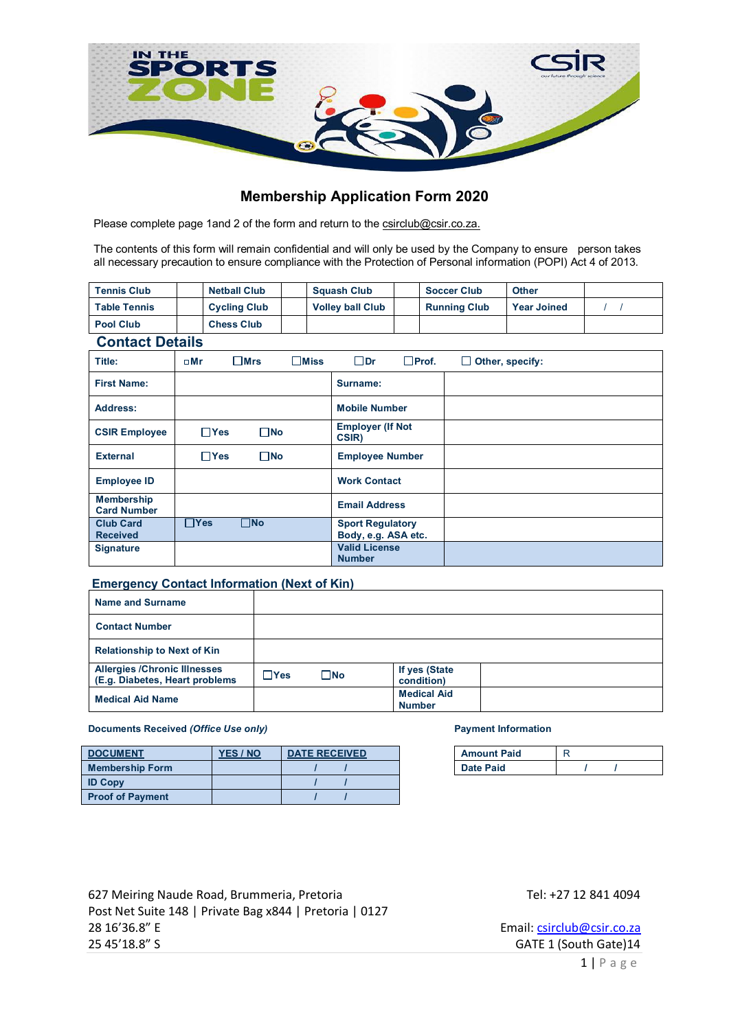

# **Membership Application Form 2020**

Please complete page 1and 2 of the form and return to the csirclub@csir.co.za.

The contents of this form will remain confidential and will only be used by the Company to ensure person takes all necessary precaution to ensure compliance with the Protection of Personal information (POPI) Act 4 of 2013.

| <b>Tennis Club</b>     | <b>Netball Club</b> |  | <b>Squash Club</b>      |  | <b>Soccer Club</b>  | <b>Other</b>       |  |
|------------------------|---------------------|--|-------------------------|--|---------------------|--------------------|--|
| <b>Table Tennis</b>    | <b>Cycling Club</b> |  | <b>Volley ball Club</b> |  | <b>Running Club</b> | <b>Year Joined</b> |  |
| <b>Pool Club</b>       | <b>Chess Club</b>   |  |                         |  |                     |                    |  |
| <b>Contact Details</b> |                     |  |                         |  |                     |                    |  |

| Title:                                  | $\square$ Mr | $\square$ Mrs | $\square$ Miss | $\Box$ Dr                                      | $\Box$ Prof. | $\Box$ Other, specify: |
|-----------------------------------------|--------------|---------------|----------------|------------------------------------------------|--------------|------------------------|
| <b>First Name:</b>                      |              |               |                | Surname:                                       |              |                        |
| <b>Address:</b>                         |              |               |                | <b>Mobile Number</b>                           |              |                        |
| <b>CSIR Employee</b>                    | $\Box$ Yes   | $\square$ No  |                | <b>Employer (If Not</b><br>CSIR)               |              |                        |
| <b>External</b>                         | $\Box$ Yes   | $\square$ No  |                | <b>Employee Number</b>                         |              |                        |
| <b>Employee ID</b>                      |              |               |                | <b>Work Contact</b>                            |              |                        |
| <b>Membership</b><br><b>Card Number</b> |              |               |                | <b>Email Address</b>                           |              |                        |
| <b>Club Card</b><br><b>Received</b>     | $\Box$ Yes   | $\square$ No  |                | <b>Sport Regulatory</b><br>Body, e.g. ASA etc. |              |                        |
| <b>Signature</b>                        |              |               |                | <b>Valid License</b><br><b>Number</b>          |              |                        |

## **Emergency Contact Information (Next of Kin)**

| Name and Surname                                                      |            |              |                                     |  |
|-----------------------------------------------------------------------|------------|--------------|-------------------------------------|--|
| <b>Contact Number</b>                                                 |            |              |                                     |  |
| <b>Relationship to Next of Kin</b>                                    |            |              |                                     |  |
| <b>Allergies /Chronic Illnesses</b><br>(E.g. Diabetes, Heart problems | $\Box$ Yes | $\square$ No | If yes (State<br>condition)         |  |
| <b>Medical Aid Name</b>                                               |            |              | <b>Medical Aid</b><br><b>Number</b> |  |

**(***Office Use)*

**Documents Received** *(Office Use only)* **Payment Information** 

| <b>DOCUMENT</b>         | <b>YES / NO</b> | <b>DATE RECEIVED</b> |  | <b>Amount Paid</b> |  |  |
|-------------------------|-----------------|----------------------|--|--------------------|--|--|
| <b>Membership Form</b>  |                 |                      |  | <b>Date Paid</b>   |  |  |
| <b>ID Copy</b>          |                 |                      |  |                    |  |  |
| <b>Proof of Payment</b> |                 |                      |  |                    |  |  |

| <b>Amount Paid</b> |  |  |
|--------------------|--|--|
| <b>Date Paid</b>   |  |  |

627 Meiring Naude Road, Brummeria, Pretoria Tel: +27 12 841 4094 Post Net Suite 148 | Private Bag x844 | Pretoria | 0127 28 16'36.8" E Email: csirclub@csir.co.za 25 45'18.8" S GATE 1 (South Gate)14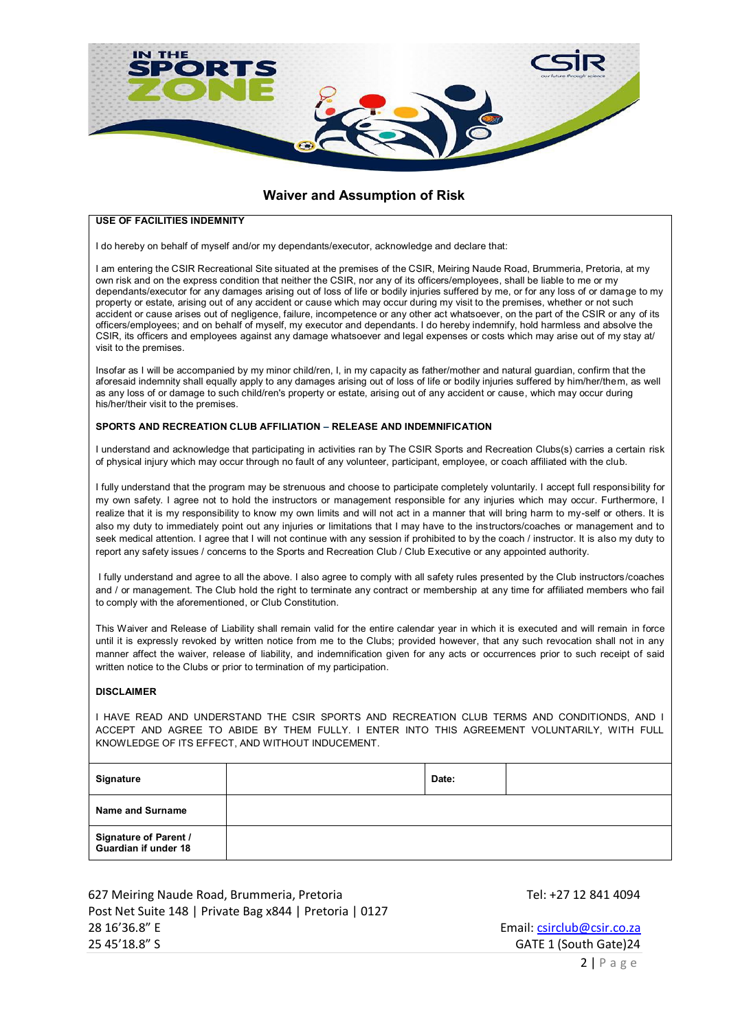

## **Waiver and Assumption of Risk**

### **USE OF FACILITIES INDEMNITY**

I do hereby on behalf of myself and/or my dependants/executor, acknowledge and declare that:

I am entering the CSIR Recreational Site situated at the premises of the CSIR, Meiring Naude Road, Brummeria, Pretoria, at my own risk and on the express condition that neither the CSIR, nor any of its officers/employees, shall be liable to me or my dependants/executor for any damages arising out of loss of life or bodily injuries suffered by me, or for any loss of or damage to my property or estate, arising out of any accident or cause which may occur during my visit to the premises, whether or not such accident or cause arises out of negligence, failure, incompetence or any other act whatsoever, on the part of the CSIR or any of its officers/employees; and on behalf of myself, my executor and dependants. I do hereby indemnify, hold harmless and absolve the CSIR, its officers and employees against any damage whatsoever and legal expenses or costs which may arise out of my stay at/ visit to the premises.

Insofar as I will be accompanied by my minor child/ren, I, in my capacity as father/mother and natural guardian, confirm that the aforesaid indemnity shall equally apply to any damages arising out of loss of life or bodily injuries suffered by him/her/them, as well as any loss of or damage to such child/ren's property or estate, arising out of any accident or cause, which may occur during his/her/their visit to the premises.

#### **SPORTS AND RECREATION CLUB AFFILIATION – RELEASE AND INDEMNIFICATION**

I understand and acknowledge that participating in activities ran by The CSIR Sports and Recreation Clubs(s) carries a certain risk of physical injury which may occur through no fault of any volunteer, participant, employee, or coach affiliated with the club.

I fully understand that the program may be strenuous and choose to participate completely voluntarily. I accept full responsibility for my own safety. I agree not to hold the instructors or management responsible for any injuries which may occur. Furthermore, I realize that it is my responsibility to know my own limits and will not act in a manner that will bring harm to my-self or others. It is also my duty to immediately point out any injuries or limitations that I may have to the instructors/coaches or management and to seek medical attention. I agree that I will not continue with any session if prohibited to by the coach / instructor. It is also my duty to report any safety issues / concerns to the Sports and Recreation Club / Club Executive or any appointed authority.

I fully understand and agree to all the above. I also agree to comply with all safety rules presented by the Club instructors/coaches and / or management. The Club hold the right to terminate any contract or membership at any time for affiliated members who fail to comply with the aforementioned, or Club Constitution.

This Waiver and Release of Liability shall remain valid for the entire calendar year in which it is executed and will remain in force until it is expressly revoked by written notice from me to the Clubs; provided however, that any such revocation shall not in any manner affect the waiver, release of liability, and indemnification given for any acts or occurrences prior to such receipt of said written notice to the Clubs or prior to termination of my participation.

#### **DISCLAIMER**

I HAVE READ AND UNDERSTAND THE CSIR SPORTS AND RECREATION CLUB TERMS AND CONDITIONDS, AND I ACCEPT AND AGREE TO ABIDE BY THEM FULLY. I ENTER INTO THIS AGREEMENT VOLUNTARILY, WITH FULL KNOWLEDGE OF ITS EFFECT, AND WITHOUT INDUCEMENT.

| Signature                                     | Date: |  |
|-----------------------------------------------|-------|--|
| Name and Surname                              |       |  |
| Signature of Parent /<br>Guardian if under 18 |       |  |

627 Meiring Naude Road, Brummeria, Pretoria Tel: +27 12 841 4094 Post Net Suite 148 | Private Bag x844 | Pretoria | 0127 28 16'36.8" E Email: csirclub@csir.co.za 25 45'18.8" S GATE 1 (South Gate)24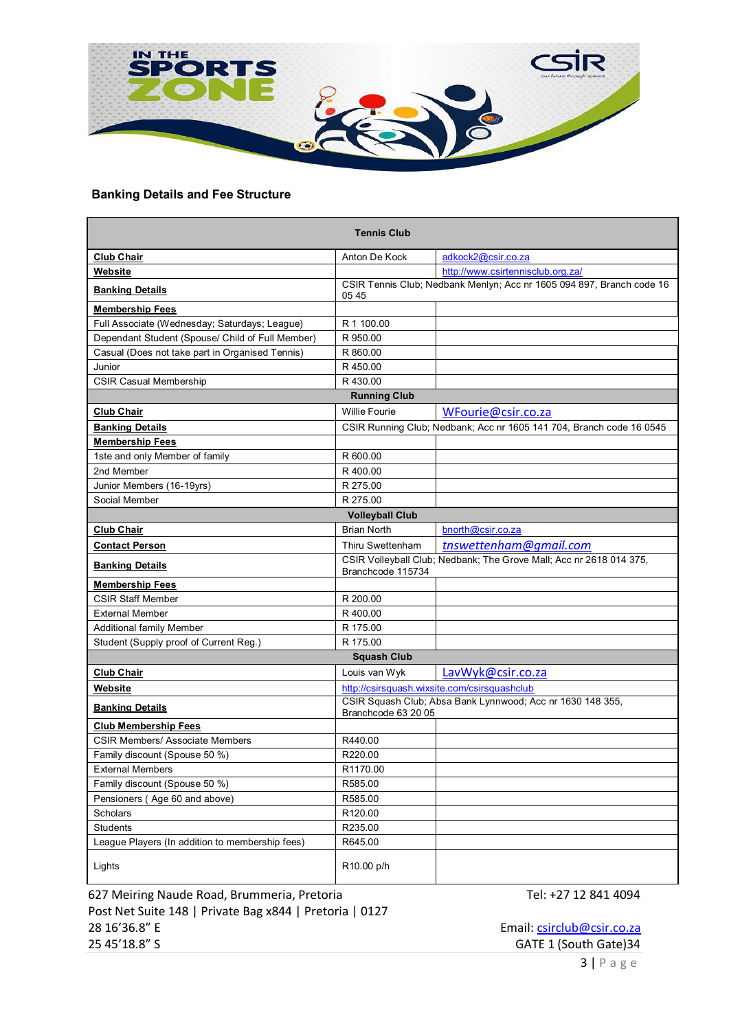

# **Banking Details and Fee Structure**

|                                                  | <b>Tennis Club</b>     |                                                                       |
|--------------------------------------------------|------------------------|-----------------------------------------------------------------------|
| <b>Club Chair</b>                                | Anton De Kock          | adkock2@csir.co.za                                                    |
| Website                                          |                        | http://www.csirtennisclub.org.za/                                     |
| <b>Banking Details</b>                           | 05 45                  | CSIR Tennis Club; Nedbank Menlyn; Acc nr 1605 094 897, Branch code 16 |
| <b>Membership Fees</b>                           |                        |                                                                       |
| Full Associate (Wednesday; Saturdays; League)    | R 1 100.00             |                                                                       |
| Dependant Student (Spouse/ Child of Full Member) | R 950.00               |                                                                       |
| Casual (Does not take part in Organised Tennis)  | R 860.00               |                                                                       |
| Junior                                           | R450.00                |                                                                       |
| <b>CSIR Casual Membership</b>                    | R430.00                |                                                                       |
|                                                  | <b>Running Club</b>    |                                                                       |
| <b>Club Chair</b>                                | <b>Willie Fourie</b>   | WFourie@csir.co.za                                                    |
| <b>Banking Details</b>                           |                        | CSIR Running Club; Nedbank; Acc nr 1605 141 704, Branch code 16 0545  |
| <b>Membership Fees</b>                           |                        |                                                                       |
| 1ste and only Member of family                   | R 600.00               |                                                                       |
| 2nd Member                                       | R 400.00               |                                                                       |
| Junior Members (16-19yrs)                        | R 275.00               |                                                                       |
| Social Member                                    | R 275.00               |                                                                       |
|                                                  | <b>Volleyball Club</b> |                                                                       |
| <b>Club Chair</b>                                | <b>Brian North</b>     | bnorth@csir.co.za                                                     |
| <b>Contact Person</b>                            | Thiru Swettenham       | tnswettenham@gmail.com                                                |
| <b>Banking Details</b>                           | Branchcode 115734      | CSIR Volleyball Club; Nedbank; The Grove Mall; Acc nr 2618 014 375,   |
| <b>Membership Fees</b>                           |                        |                                                                       |
| <b>CSIR Staff Member</b>                         | R 200.00               |                                                                       |
| <b>External Member</b>                           | R400.00                |                                                                       |
| Additional family Member                         | R 175.00               |                                                                       |
| Student (Supply proof of Current Reg.)           | R 175.00               |                                                                       |
|                                                  | <b>Squash Club</b>     |                                                                       |
| <b>Club Chair</b>                                | Louis van Wyk          | LavWyk@csir.co.za                                                     |
| Website                                          |                        | http://csirsquash.wixsite.com/csirsquashclub                          |
| <b>Banking Details</b>                           | Branchcode 63 20 05    | CSIR Squash Club; Absa Bank Lynnwood; Acc nr 1630 148 355,            |
| <b>Club Membership Fees</b>                      |                        |                                                                       |
| <b>CSIR Members/ Associate Members</b>           | R440.00                |                                                                       |
| Family discount (Spouse 50 %)                    | R220.00                |                                                                       |
| <b>External Members</b>                          | R1170.00               |                                                                       |
| Family discount (Spouse 50 %)                    | R585.00                |                                                                       |
| Pensioners (Age 60 and above)                    | R585.00                |                                                                       |
| Scholars                                         | R120.00                |                                                                       |
| Students                                         | R235.00                |                                                                       |
| League Players (In addition to membership fees)  | R645.00                |                                                                       |
| Lights                                           | R10.00 p/h             |                                                                       |

627 Meiring Naude Road, Brummeria, Pretoria Tel: +27 12 841 4094 Post Net Suite 148 | Private Bag x844 | Pretoria | 0127 28 16'36.8" E Email: csirclub@csir.co.za<br>25 45'18.8" S GATE 1 (South Gate) 34

GATE 1 (South Gate)34